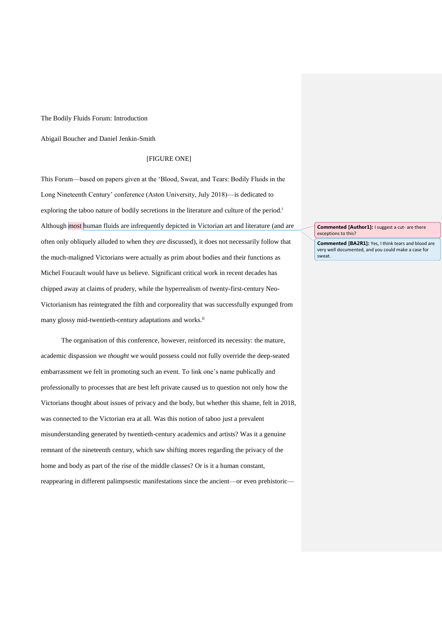The Bodily Fluids Forum: Introduction

Abigail Boucher and Daniel Jenkin-Smith

## [FIGURE ONE]

This Forum—based on papers given at the 'Blood, Sweat, and Tears: Bodily Fluids in the Long Nineteenth Century' conference (Aston University, July 2018)—is dedicated to exploring the taboo nature of bodily secretions in the literature and culture of the period.<sup>i</sup> Although most human fluids are infrequently depicted in Victorian art and literature (and are often only obliquely alluded to when they *are* discussed), it does not necessarily follow that the much-maligned Victorians were actually as prim about bodies and their functions as Michel Foucault would have us believe. Significant critical work in recent decades has chipped away at claims of prudery, while the hyperrealism of twenty-first-century Neo-Victorianism has reintegrated the filth and corporeality that was successfully expunged from many glossy mid-twentieth-century adaptations and works.<sup>ii</sup>

The organisation of this conference, however, reinforced its necessity: the mature, academic dispassion we *thought* we would possess could not fully override the deep-seated embarrassment we felt in promoting such an event. To link one's name publically and professionally to processes that are best left private caused us to question not only how the Victorians thought about issues of privacy and the body, but whether this shame, felt in 2018, was connected to the Victorian era at all. Was this notion of taboo just a prevalent misunderstanding generated by twentieth-century academics and artists? Was it a genuine remnant of the nineteenth century, which saw shifting mores regarding the privacy of the home and body as part of the rise of the middle classes? Or is it a human constant, reappearing in different palimpsestic manifestations since the ancient—or even prehistoric**Commented [Author1]:** I suggest a cut- are there exceptions to this?

**Commented [BA2R1]:** Yes, I think tears and blood are very well documented, and you could make a case for sweat.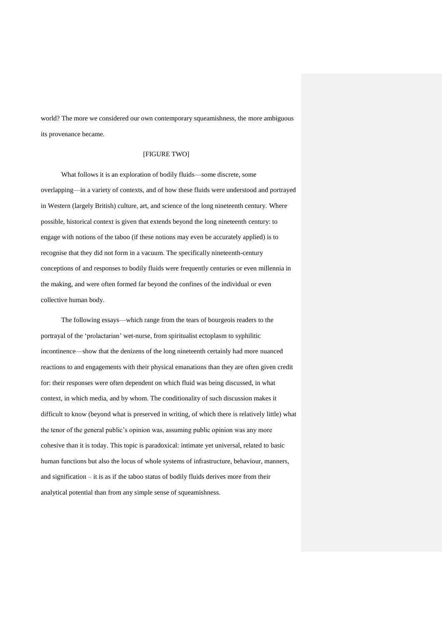world? The more we considered our own contemporary squeamishness, the more ambiguous its provenance became.

## [FIGURE TWO]

What follows it is an exploration of bodily fluids—some discrete, some overlapping—in a variety of contexts, and of how these fluids were understood and portrayed in Western (largely British) culture, art, and science of the long nineteenth century. Where possible, historical context is given that extends beyond the long nineteenth century: to engage with notions of the taboo (if these notions may even be accurately applied) is to recognise that they did not form in a vacuum. The specifically nineteenth-century conceptions of and responses to bodily fluids were frequently centuries or even millennia in the making, and were often formed far beyond the confines of the individual or even collective human body.

The following essays—which range from the tears of bourgeois readers to the portrayal of the 'prolactarian' wet-nurse, from spiritualist ectoplasm to syphilitic incontinence—show that the denizens of the long nineteenth certainly had more nuanced reactions to and engagements with their physical emanations than they are often given credit for: their responses were often dependent on which fluid was being discussed, in what context, in which media, and by whom. The conditionality of such discussion makes it difficult to know (beyond what is preserved in writing, of which there is relatively little) what the tenor of the general public's opinion was, assuming public opinion was any more cohesive than it is today. This topic is paradoxical: intimate yet universal, related to basic human functions but also the locus of whole systems of infrastructure, behaviour, manners, and signification – it is as if the taboo status of bodily fluids derives more from their analytical potential than from any simple sense of squeamishness.